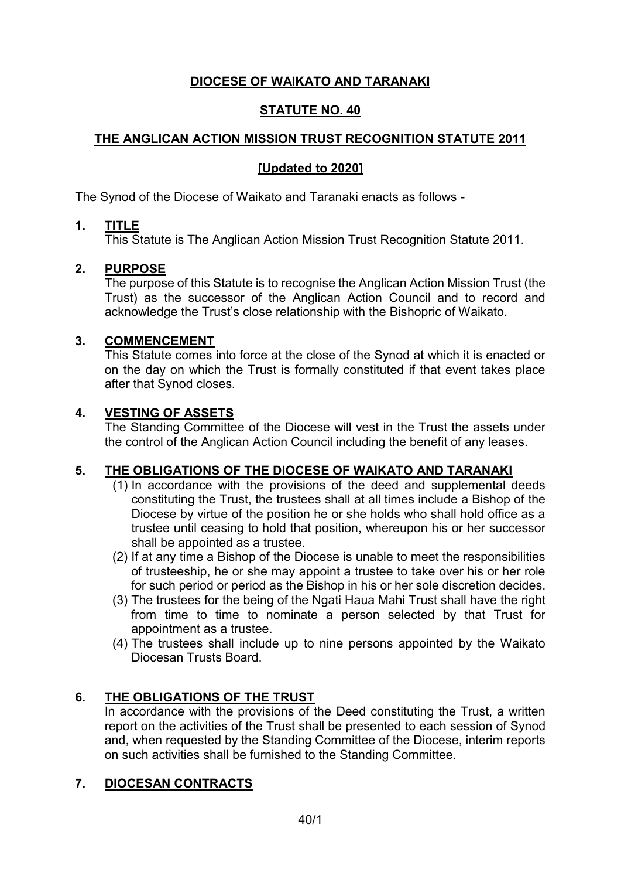# **DIOCESE OF WAIKATO AND TARANAKI**

## **STATUTE NO. 40**

## **THE ANGLICAN ACTION MISSION TRUST RECOGNITION STATUTE 2011**

## **[Updated to 2020]**

The Synod of the Diocese of Waikato and Taranaki enacts as follows -

## **1. TITLE**

This Statute is The Anglican Action Mission Trust Recognition Statute 2011.

### **2. PURPOSE**

The purpose of this Statute is to recognise the Anglican Action Mission Trust (the Trust) as the successor of the Anglican Action Council and to record and acknowledge the Trust's close relationship with the Bishopric of Waikato.

#### **3. COMMENCEMENT**

This Statute comes into force at the close of the Synod at which it is enacted or on the day on which the Trust is formally constituted if that event takes place after that Synod closes.

### **4. VESTING OF ASSETS**

The Standing Committee of the Diocese will vest in the Trust the assets under the control of the Anglican Action Council including the benefit of any leases.

## **5. THE OBLIGATIONS OF THE DIOCESE OF WAIKATO AND TARANAKI**

- (1) In accordance with the provisions of the deed and supplemental deeds constituting the Trust, the trustees shall at all times include a Bishop of the Diocese by virtue of the position he or she holds who shall hold office as a trustee until ceasing to hold that position, whereupon his or her successor shall be appointed as a trustee.
- (2) If at any time a Bishop of the Diocese is unable to meet the responsibilities of trusteeship, he or she may appoint a trustee to take over his or her role for such period or period as the Bishop in his or her sole discretion decides.
- (3) The trustees for the being of the Ngati Haua Mahi Trust shall have the right from time to time to nominate a person selected by that Trust for appointment as a trustee.
- (4) The trustees shall include up to nine persons appointed by the Waikato Diocesan Trusts Board.

## **6. THE OBLIGATIONS OF THE TRUST**

In accordance with the provisions of the Deed constituting the Trust, a written report on the activities of the Trust shall be presented to each session of Synod and, when requested by the Standing Committee of the Diocese, interim reports on such activities shall be furnished to the Standing Committee.

## **7. DIOCESAN CONTRACTS**